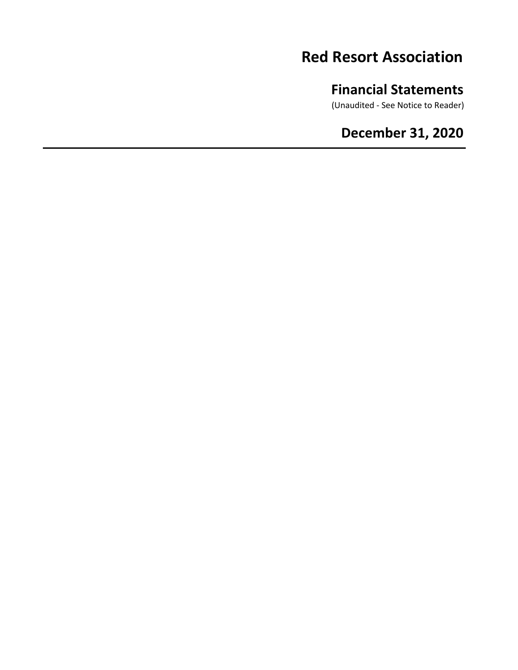# **Red Resort Association**

# **Financial Statements**

(Unaudited - See Notice to Reader)

# **December 31, 2020**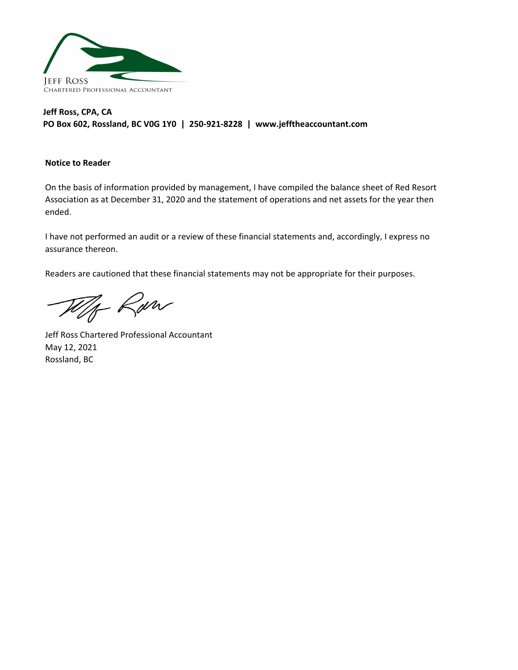

## **Jeff Ross, CPA, CA PO Box 602, Rossland, BC V0G 1Y0  |  250-921-8228  |  www.jefftheaccountant.com**

#### **Notice to Reader**

On the basis of information provided by management, I have compiled the balance sheet of Red Resort Association as at December 31, 2020 and the statement of operations and net assets for the year then ended.

I have not performed an audit or a review of these financial statements and, accordingly, I express no assurance thereon.

Readers are cautioned that these financial statements may not be appropriate for their purposes.

W/ Raw

Jeff Ross Chartered Professional Accountant May 12, 2021 Rossland, BC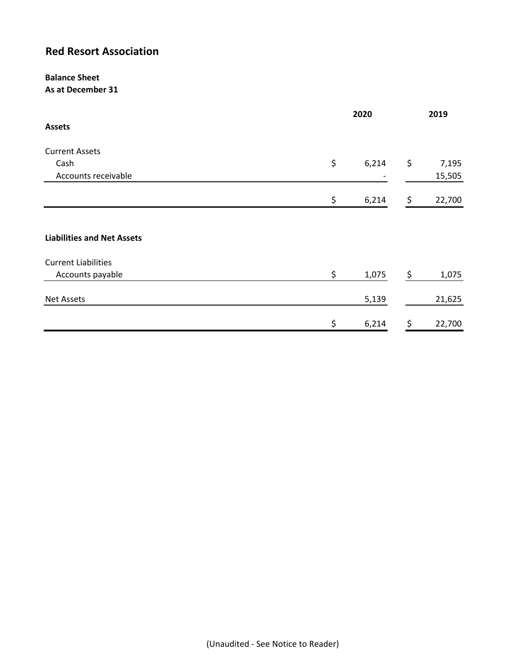# **Red Resort Association**

#### **Balance Sheet As at December 31**

|                                   | 2020 |       | 2019 |        |
|-----------------------------------|------|-------|------|--------|
| <b>Assets</b>                     |      |       |      |        |
| <b>Current Assets</b>             |      |       |      |        |
| Cash                              | \$   | 6,214 | \$   | 7,195  |
| Accounts receivable               |      |       |      | 15,505 |
|                                   | \$   | 6,214 | \$   | 22,700 |
|                                   |      |       |      |        |
| <b>Liabilities and Net Assets</b> |      |       |      |        |
| <b>Current Liabilities</b>        |      |       |      |        |
| Accounts payable                  | \$   | 1,075 | \$   | 1,075  |
| <b>Net Assets</b>                 |      | 5,139 |      | 21,625 |
|                                   | \$   | 6,214 | \$   | 22,700 |